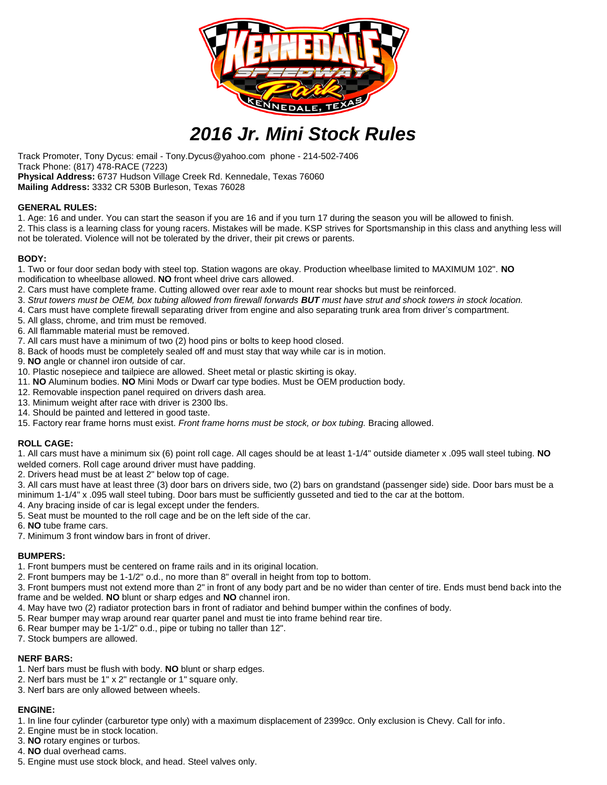

# *2016 Jr. Mini Stock Rules*

Track Promoter, Tony Dycus: email - Tony.Dycus@yahoo.com phone - 214-502-7406 Track Phone: (817) 478-RACE (7223) **Physical Address:** 6737 Hudson Village Creek Rd. Kennedale, Texas 76060 **Mailing Address:** 3332 CR 530B Burleson, Texas 76028

#### **GENERAL RULES:**

1. Age: 16 and under. You can start the season if you are 16 and if you turn 17 during the season you will be allowed to finish. 2. This class is a learning class for young racers. Mistakes will be made. KSP strives for Sportsmanship in this class and anything less will not be tolerated. Violence will not be tolerated by the driver, their pit crews or parents.

#### **BODY:**

- 1. Two or four door sedan body with steel top. Station wagons are okay. Production wheelbase limited to MAXIMUM 102". **NO** modification to wheelbase allowed. **NO** front wheel drive cars allowed.
- 2. Cars must have complete frame. Cutting allowed over rear axle to mount rear shocks but must be reinforced.
- 3. *Strut towers must be OEM, box tubing allowed from firewall forwards BUT must have strut and shock towers in stock location.*
- 4. Cars must have complete firewall separating driver from engine and also separating trunk area from driver's compartment.
- 5. All glass, chrome, and trim must be removed.
- 6. All flammable material must be removed.
- 7. All cars must have a minimum of two (2) hood pins or bolts to keep hood closed.
- 8. Back of hoods must be completely sealed off and must stay that way while car is in motion.
- 9. **NO** angle or channel iron outside of car.
- 10. Plastic nosepiece and tailpiece are allowed. Sheet metal or plastic skirting is okay.
- 11. **NO** Aluminum bodies. **NO** Mini Mods or Dwarf car type bodies. Must be OEM production body.
- 12. Removable inspection panel required on drivers dash area.
- 13. Minimum weight after race with driver is 2300 lbs.
- 14. Should be painted and lettered in good taste.
- 15. Factory rear frame horns must exist. *Front frame horns must be stock, or box tubing.* Bracing allowed.

# **ROLL CAGE:**

1. All cars must have a minimum six (6) point roll cage. All cages should be at least 1-1/4" outside diameter x .095 wall steel tubing. **NO** welded corners. Roll cage around driver must have padding.

- 2. Drivers head must be at least 2" below top of cage.
- 3. All cars must have at least three (3) door bars on drivers side, two (2) bars on grandstand (passenger side) side. Door bars must be a minimum 1-1/4" x .095 wall steel tubing. Door bars must be sufficiently gusseted and tied to the car at the bottom.
- 4. Any bracing inside of car is legal except under the fenders.
- 5. Seat must be mounted to the roll cage and be on the left side of the car.
- 6. **NO** tube frame cars.
- 7. Minimum 3 front window bars in front of driver.

# **BUMPERS:**

- 1. Front bumpers must be centered on frame rails and in its original location.
- 2. Front bumpers may be 1-1/2" o.d., no more than 8" overall in height from top to bottom.

3. Front bumpers must not extend more than 2" in front of any body part and be no wider than center of tire. Ends must bend back into the frame and be welded. **NO** blunt or sharp edges and **NO** channel iron.

- 4. May have two (2) radiator protection bars in front of radiator and behind bumper within the confines of body.
- 5. Rear bumper may wrap around rear quarter panel and must tie into frame behind rear tire.
- 6. Rear bumper may be 1-1/2" o.d., pipe or tubing no taller than 12".
- 7. Stock bumpers are allowed.

# **NERF BARS:**

- 1. Nerf bars must be flush with body. **NO** blunt or sharp edges.
- 2. Nerf bars must be 1" x 2" rectangle or 1" square only.
- 3. Nerf bars are only allowed between wheels.

# **ENGINE:**

1. In line four cylinder (carburetor type only) with a maximum displacement of 2399cc. Only exclusion is Chevy. Call for info.

- 2. Engine must be in stock location.
- 3. **NO** rotary engines or turbos.
- 4. **NO** dual overhead cams.
- 5. Engine must use stock block, and head. Steel valves only.